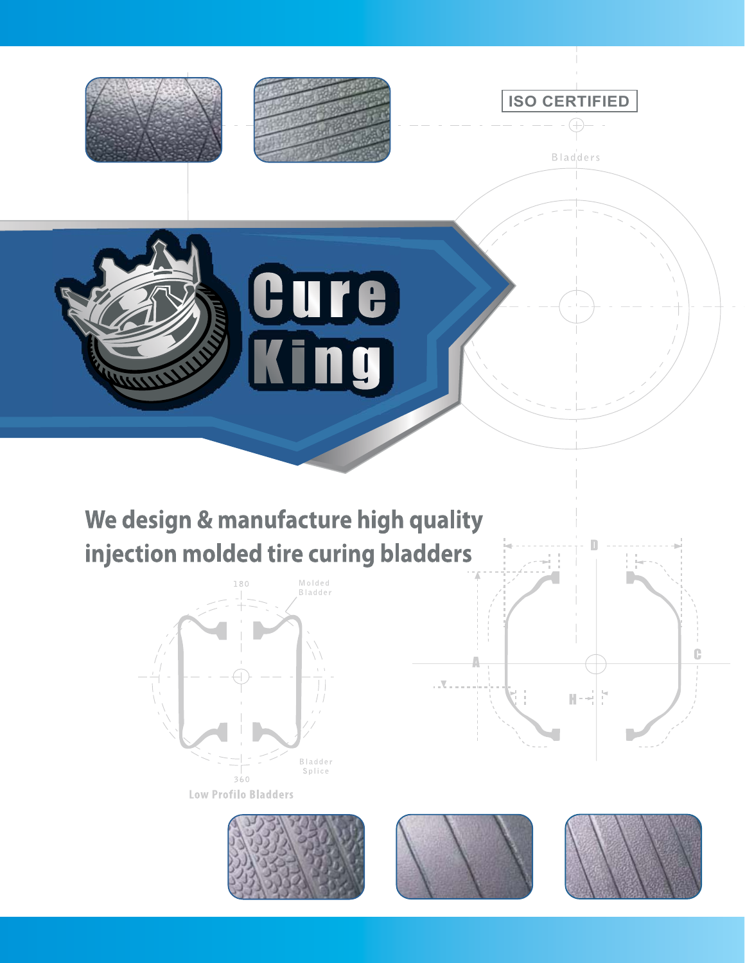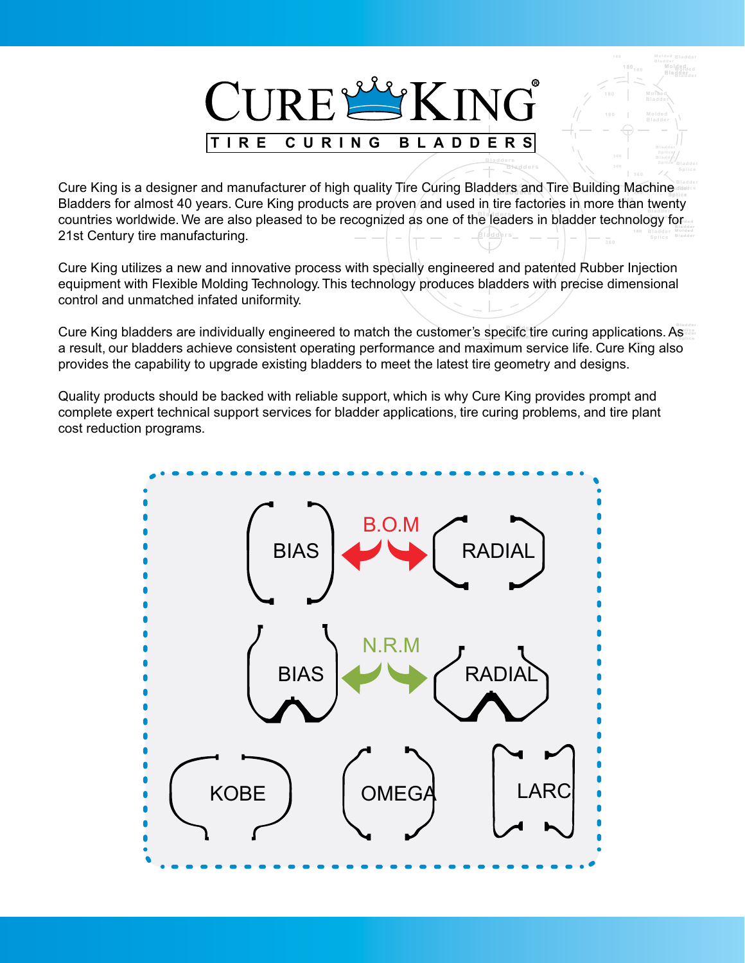

**Molded Bladder**

**Bladders Splice** Bladder **Bladder** 

**Bladder Bladders Splice 1800** Countries worldwide. We are also pleased to be recognized as one of the leaders in bladder technology for **Bladder 180** Bladders for almost 40 years. Cure King products are proven/and used in tire factories in more than twenty **Cure King is a designer and manufacturer of high quality Tire Curing Bladders and Tire Building Machine** 21st Century tire manufacturing.

Cure King utilizes a new and innovative process with specially engineered and patented Rubber Injection equipment with Flexible Molding Technology. This technology produces bladders with precise dimensional control and unmatched infated uniformity.

**360** a result, our bladders achieve consistent operating performance and maximum service life. Cure King also Cure King bladders are individually engineered to match the customer's specifc tire curing applications. As provides the capability to upgrade existing bladders to meet the latest tire geometry and designs.

Quality products should be backed with reliable support, which is why Cure King provides prompt and complete expert technical support services for bladder applications, tire curing problems, and tire plant cost reduction programs.

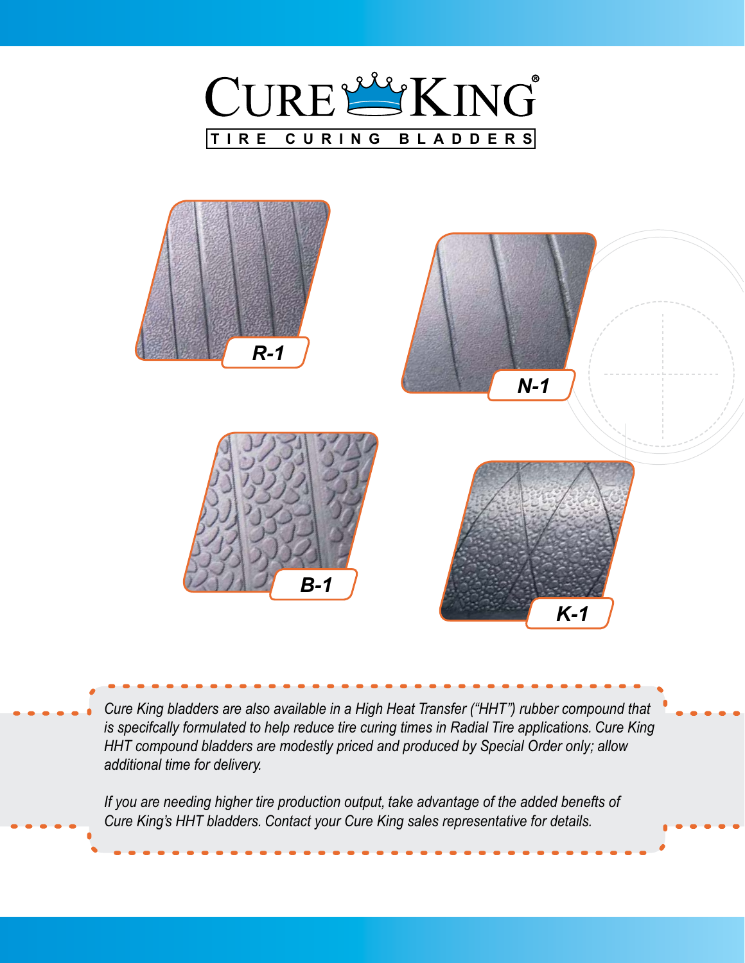



*Cure King bladders are also available in a High Heat Transfer ("HHT") rubber compound that is specifcally formulated to help reduce tire curing times in Radial Tire applications. Cure King HHT compound bladders are modestly priced and produced by Special Order only; allow additional time for delivery.*

*If you are needing higher tire production output, take advantage of the added benefts of Cure King's HHT bladders. Contact your Cure King sales representative for details.*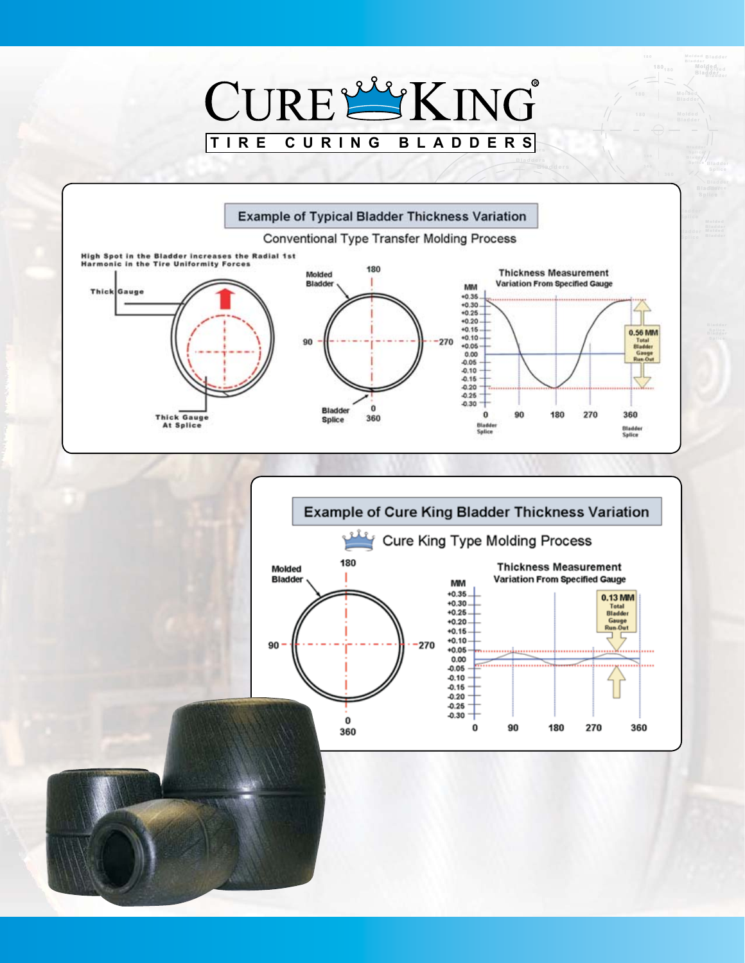## CURELLING **TIRE CURING BLADDERS Bladder**<br> **Bladder Splice**

**Bladder Molded Bladder Molded Bladder**

**180 180**

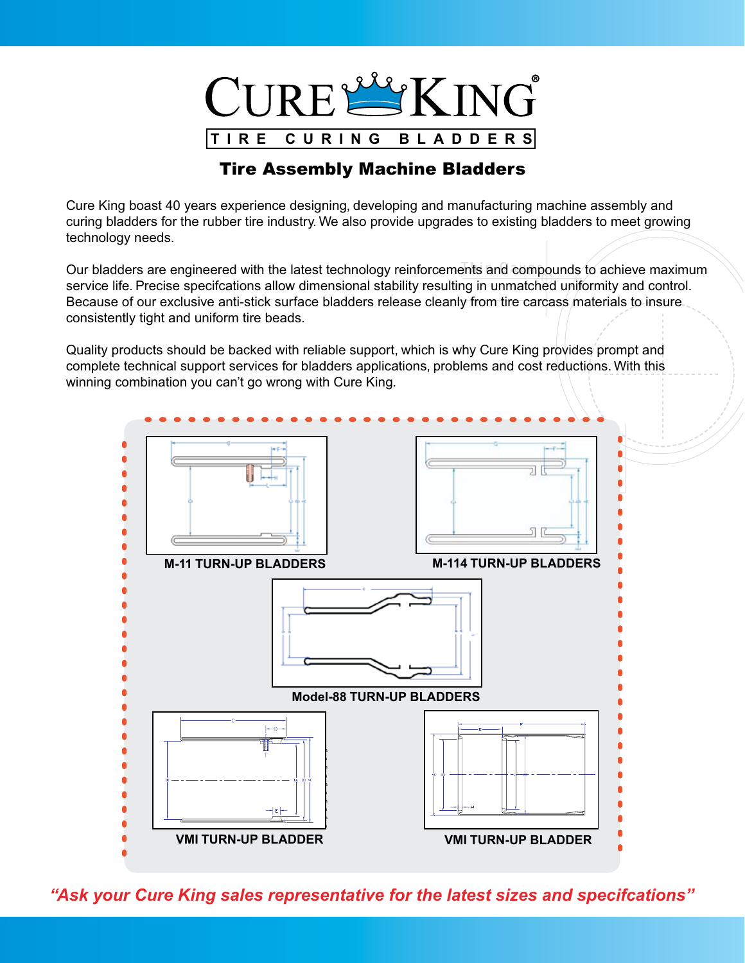

## Tire Assembly Machine Bladders

Cure King boast 40 years experience designing, developing and manufacturing machine assembly and curing bladders for the rubber tire industry. We also provide upgrades to existing bladders to meet growing technology needs.

Our bladders are engineered with the latest technology reinforcements and compounds to achieve maximum service life. Precise specifcations allow dimensional stability resulting in unmatched uniformity and control. Because of our exclusive anti-stick surface bladders release cleanly from tire carcass materials to insure consistently tight and uniform tire beads.

Quality products should be backed with reliable support, which is why Cure King provides prompt and complete technical support services for bladders applications, problems and cost reductions. With this winning combination you can't go wrong with Cure King.



*"Ask your Cure King sales representative for the latest sizes and specifcations"*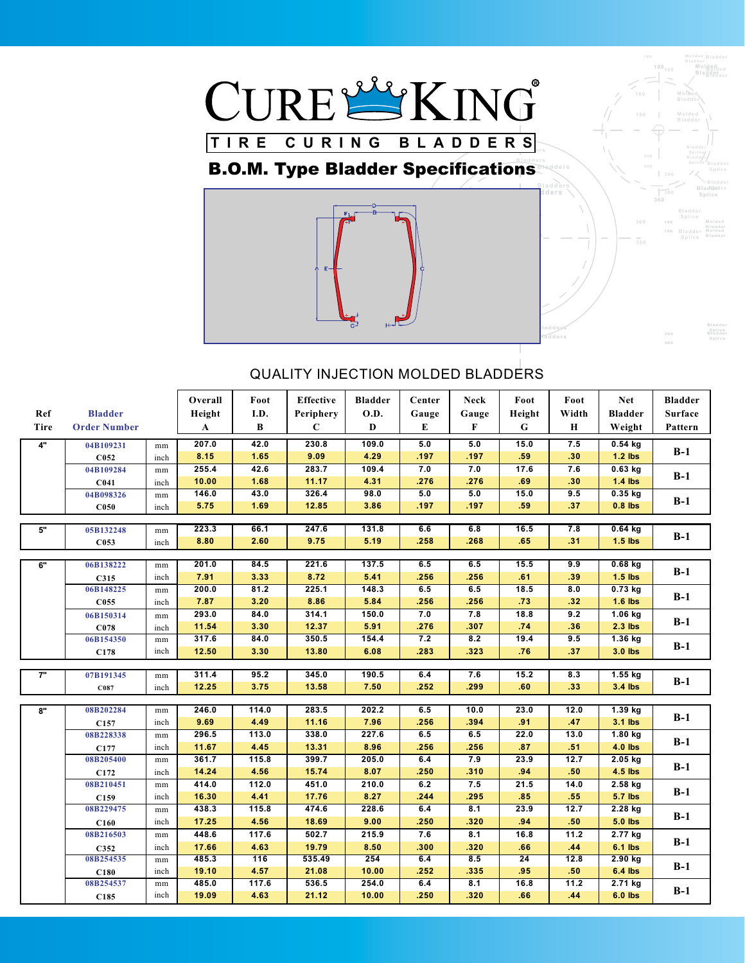

## **B.O.M. Type Bladder Specifications**



**Bladder Bladders Splice Bladder Bladders Splice**

**Bladder**

**Molded**

**Molded**

**Bladder**<br>**Bladder Splice** 

**Bladders Bladders Bladders Bladders Bladders Containers Bladder Bladders Splice** Bladders **Splice** Bladder

**Bladder Bladder**<br> **Bladder Bladder Bladder Bladder Bladders Splice**

| Ref<br>Tire | <b>Bladder</b><br><b>Order Number</b> |                  | Overall<br>Height<br>$\mathbf A$ | Foot<br>I.D.<br>B | <b>Effective</b><br>Periphery<br>$\mathbf C$ | <b>Bladder</b><br><b>O.D.</b><br>D | Center<br>Gauge<br>E | <b>Neck</b><br>Gauge<br>$\mathbf{F}$ | Foot<br>Height<br>$\mathbf G$ | Foot<br>Width<br>$\bf H$ | <b>Net</b><br><b>Bladder</b><br>Weight | <b>Bladder</b><br><b>Surface</b><br>Pattern |
|-------------|---------------------------------------|------------------|----------------------------------|-------------------|----------------------------------------------|------------------------------------|----------------------|--------------------------------------|-------------------------------|--------------------------|----------------------------------------|---------------------------------------------|
| 4"          | 04B109231                             | mm               | 207.0<br>8.15                    | 42.0<br>1.65      | 230.8<br>9.09                                | 109.0<br>4.29                      | 5.0<br>.197          | 5.0<br>.197                          | 15.0<br>.59                   | 7.5<br>.30               | $0.54$ kg<br>$1.2$ lbs                 | $B-1$                                       |
|             | C <sub>052</sub>                      | inch             | 255.4                            | 42.6              | 283.7                                        | 109.4                              | 7.0                  | 7.0                                  | 17.6                          | 7.6                      | $0.63$ kg                              |                                             |
|             | 04B109284                             | $\rm mm$         | 10.00                            | 1.68              | 11.17                                        | 4.31                               | .276                 | .276                                 | .69                           | .30                      | $1.4$ lbs                              | $B-1$                                       |
|             | C <sub>041</sub>                      | inch             | 146.0                            | 43.0              | 326.4                                        | 98.0                               | 5.0                  | 5.0                                  | 15.0                          | 9.5                      | $0.35$ kg                              |                                             |
|             | 04B098326<br>C050                     | mm<br>inch       | 5.75                             | 1.69              | 12.85                                        | 3.86                               | .197                 | .197                                 | .59                           | .37                      | $0.8$ lbs                              | $B-1$                                       |
|             |                                       |                  |                                  |                   |                                              |                                    |                      |                                      |                               |                          |                                        |                                             |
| 5"          | 05B132248                             | mm               | 223.3                            | 66.1              | 247.6                                        | 131.8                              | 6.6                  | 6.8                                  | 16.5                          | 7.8                      | $0.64$ kg                              |                                             |
|             | C053                                  | inch             | 8.80                             | 2.60              | 9.75                                         | 5.19                               | .258                 | .268                                 | .65                           | .31                      | $1.5$ lbs                              | $B-1$                                       |
|             |                                       |                  |                                  |                   |                                              |                                    |                      |                                      |                               |                          |                                        |                                             |
| 6"          | 06B138222                             | mm               | 201.0                            | 84.5              | 221.6                                        | 137.5                              | 6.5                  | 6.5                                  | 15.5                          | 9.9                      | $0.68$ kg                              |                                             |
|             | C315                                  | inch             | 7.91                             | 3.33              | 8.72                                         | 5.41                               | .256                 | .256                                 | .61                           | .39                      | $1.5$ lbs                              | $B-1$                                       |
|             | 06B148225                             | mm               | 200.0                            | 81.2              | 225.1                                        | 148.3                              | 6.5                  | 6.5                                  | 18.5                          | 8.0                      | $0.73$ kg                              |                                             |
|             | C055                                  | inch             | 7.87                             | 3.20              | 8.86                                         | 5.84                               | .256                 | .256                                 | .73                           | .32                      | $1.6$ lbs                              | $B-1$                                       |
|             | 06B150314                             | mm               | 293.0                            | 84.0              | 314.1                                        | 150.0                              | 7.0                  | 7.8                                  | 18.8                          | 9.2                      | $1.06$ kg                              |                                             |
|             | C <sub>078</sub>                      | inch             | 11.54                            | 3.30              | 12.37                                        | 5.91                               | .276                 | .307                                 | .74                           | .36                      | $2.3$ lbs                              | $B-1$                                       |
|             | 06B154350                             | $\rm mm$         | 317.6                            | 84.0              | 350.5                                        | 154.4                              | 7.2                  | 8.2                                  | 19.4                          | 9.5                      | $1.36$ kg                              |                                             |
|             | C178                                  | inch             | 12.50                            | 3.30              | 13.80                                        | 6.08                               | .283                 | .323                                 | .76                           | .37                      | 3.0 lbs                                | $B-1$                                       |
|             |                                       |                  |                                  |                   |                                              |                                    |                      |                                      |                               |                          |                                        |                                             |
| 7"          | 07B191345                             | $\rm mm$         | 311.4                            | 95.2              | 345.0                                        | 190.5                              | 6.4                  | 7.6                                  | 15.2                          | 8.3                      | $1.55$ kg                              | $B-1$                                       |
|             | C087                                  | inch             | 12.25                            | 3.75              | 13.58                                        | 7.50                               | .252                 | .299                                 | .60                           | .33                      | 3.4 lbs                                |                                             |
|             | 08B202284                             |                  | 246.0                            | 114.0             | 283.5                                        | 202.2                              | 6.5                  | 10.0                                 | 23.0                          | 12.0                     | $1.39$ kg                              |                                             |
| 8"          |                                       | mm               | 9.69                             | 4.49              | 11.16                                        | 7.96                               | .256                 | .394                                 | .91                           | .47                      | $3.1$ lbs                              | $B-1$                                       |
|             | C <sub>157</sub><br>08B228338         | inch<br>$\rm mm$ | 296.5                            | 113.0             | 338.0                                        | 227.6                              | 6.5                  | 6.5                                  | 22.0                          | 13.0                     | 1.80 kg                                |                                             |
|             |                                       | inch             | 11.67                            | 4.45              | 13.31                                        | 8.96                               | .256                 | .256                                 | .87                           | .51                      | $4.0$ lbs                              | $B-1$                                       |
|             | C177<br>08B205400                     | mm               | 361.7                            | 115.8             | 399.7                                        | 205.0                              | 6.4                  | 7.9                                  | 23.9                          | 12.7                     | $2.05$ kg                              |                                             |
|             | C172                                  | inch             | 14.24                            | 4.56              | 15.74                                        | 8.07                               | .250                 | .310                                 | .94                           | .50                      | 4.5 lbs                                | $B-1$                                       |
|             | 08B210451                             | $\rm mm$         | 414.0                            | 112.0             | 451.0                                        | 210.0                              | 6.2                  | 7.5                                  | 21.5                          | 14.0                     | $2.58$ kg                              |                                             |
|             | C159                                  | inch             | 16.30                            | 4.41              | 17.76                                        | 8.27                               | .244                 | .295                                 | .85                           | .55                      | <b>5.7 lbs</b>                         | $B-1$                                       |
|             | 08B229475                             | mm               | 438.3                            | 115.8             | 474.6                                        | 228.6                              | 6.4                  | 8.1                                  | 23.9                          | 12.7                     | 2.28 kg                                |                                             |
|             | C160                                  | inch             | 17.25                            | 4.56              | 18.69                                        | 9.00                               | .250                 | .320                                 | .94                           | .50 <sub>1</sub>         | <b>5.0 lbs</b>                         | $B-1$                                       |
|             | 08B216503                             | mm               | 448.6                            | 117.6             | 502.7                                        | 215.9                              | 7.6                  | 8.1                                  | 16.8                          | 11.2                     | 2.77 kg                                |                                             |
|             | C352                                  | inch             | 17.66                            | 4.63              | 19.79                                        | 8.50                               | .300                 | .320                                 | .66                           | .44                      | <b>6.1 lbs</b>                         | $B-1$                                       |
|             | 08B254535                             | $\rm mm$         | 485.3                            | 116               | 535.49                                       | 254                                | 6.4                  | 8.5                                  | $\overline{24}$               | 12.8                     | $2.90$ kg                              |                                             |
|             | C180                                  | inch             | 19.10                            | 4.57              | 21.08                                        | 10.00                              | .252                 | .335                                 | .95                           | .50                      | $6.4$ lbs                              | $B-1$                                       |
|             | 08B254537                             | $\rm mm$         | 485.0                            | 117.6             | 536.5                                        | 254.0                              | 6.4                  | 8.1                                  | 16.8                          | 11.2                     | 2.71 kg                                |                                             |
|             | C185                                  | inch             | 19.09                            | 4.63              | 21.12                                        | 10.00                              | .250                 | .320                                 | .66                           | .44                      | <b>6.0 lbs</b>                         | $B-1$                                       |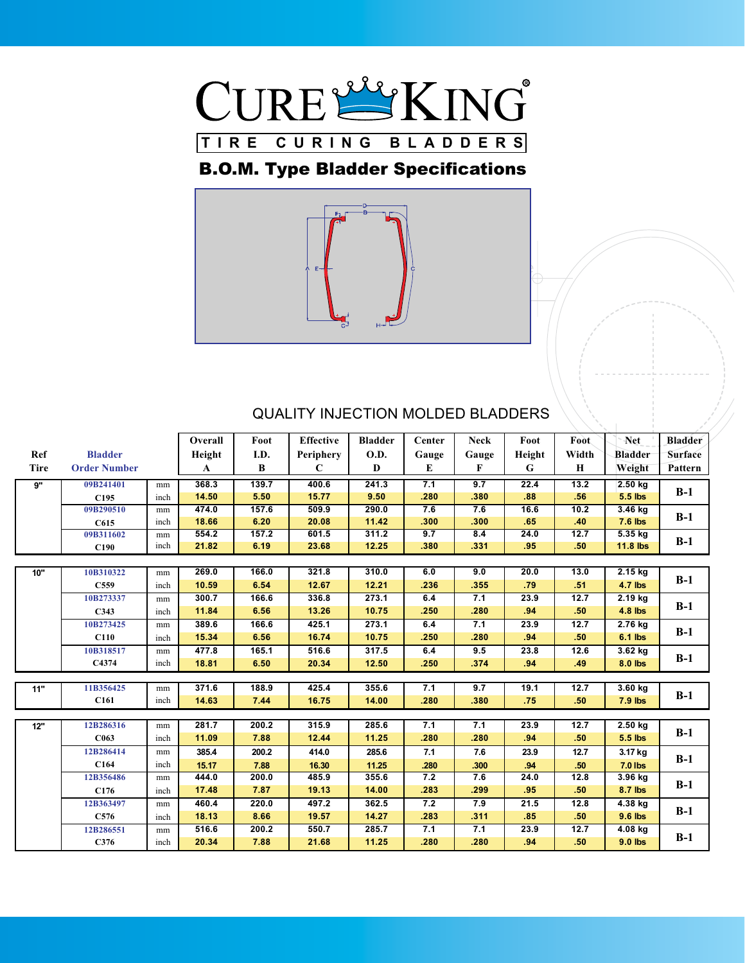

## B.O.M. Type Bladder Specifications



|      |                     |      | Overall | Foot  | <b>Effective</b> | <b>Bladder</b> | Center | <b>Neck</b> | Foot   | Foot.       | Net             | <b>Bladder</b> |
|------|---------------------|------|---------|-------|------------------|----------------|--------|-------------|--------|-------------|-----------------|----------------|
| Ref  | <b>Bladder</b>      |      | Height  | I.D.  | Periphery        | O.D.           | Gauge  | Gauge       | Height | Width       | <b>Bladder</b>  | Surface        |
| Tire | <b>Order Number</b> |      | A       | B     | C                | D              | E      | F           | G      | $\mathbf H$ | Weight          | Pattern        |
| 9"   | 09B241401           | mm   | 368.3   | 139.7 | 400.6            | 241.3          | 7.1    | 9.7         | 22.4   | 13.2        | 2.50 kg         |                |
|      | C <sub>195</sub>    | inch | 14.50   | 5.50  | 15.77            | 9.50           | .280   | .380        | .88    | .56         | 5.5 lbs         | $B-1$          |
|      | 09B290510           | mm   | 474.0   | 157.6 | 509.9            | 290.0          | 7.6    | 7.6         | 16.6   | 10.2        | $3.46$ kg       |                |
|      | C615                | inch | 18.66   | 6.20  | 20.08            | 11.42          | .300   | .300        | .65    | .40         | $7.6$ lbs       | $B-1$          |
|      | 09B311602           | mm   | 554.2   | 157.2 | 601.5            | 311.2          | 9.7    | 8.4         | 24.0   | 12.7        | 5.35 kg         |                |
|      | C190                | inch | 21.82   | 6.19  | 23.68            | 12.25          | .380   | .331        | .95    | .50         | <b>11.8 lbs</b> | $B-1$          |
|      |                     |      |         |       |                  |                |        |             |        |             |                 |                |
| 10"  | 10B310322           | mm   | 269.0   | 166.0 | 321.8            | 310.0          | 6.0    | 9.0         | 20.0   | 13.0        | 2.15 kg         |                |
|      | C559                | inch | 10.59   | 6.54  | 12.67            | 12.21          | .236   | .355        | .79    | .51         | 4.7 lbs         | $B-1$          |
|      | 10B273337           | mm   | 300.7   | 166.6 | 336.8            | 273.1          | 6.4    | 7.1         | 23.9   | 12.7        | 2.19 kg         |                |
|      | C343                | inch | 11.84   | 6.56  | 13.26            | 10.75          | .250   | .280        | .94    | .50         | 4.8 lbs         | $B-1$          |
|      | 10B273425           | mm   | 389.6   | 166.6 | 425.1            | 273.1          | 6.4    | 7.1         | 23.9   | 12.7        | 2.76 kg         |                |
|      | C110                | inch | 15.34   | 6.56  | 16.74            | 10.75          | .250   | .280        | .94    | .50         | $6.1$ lbs       | $B-1$          |
|      | 10B318517           | mm   | 477.8   | 165.1 | 516.6            | 317.5          | 6.4    | 9.5         | 23.8   | 12.6        | 3.62 kg         |                |
|      | C4374               | inch | 18.81   | 6.50  | 20.34            | 12.50          | .250   | .374        | .94    | .49         | 8.0 lbs         | $B-1$          |
|      |                     |      |         |       |                  |                |        |             |        |             |                 |                |
| 11"  | 11B356425           | mm   | 371.6   | 188.9 | 425.4            | 355.6          | 7.1    | 9.7         | 19.1   | 12.7        | $3.60$ kg       |                |
|      | C161                | inch | 14.63   | 7.44  | 16.75            | 14.00          | .280   | .380        | .75    | .50         | 7.9 lbs         | $B-1$          |
|      |                     |      |         |       |                  |                |        |             |        |             |                 |                |
| 12"  | 12B286316           | mm   | 281.7   | 200.2 | 315.9            | 285.6          | 7.1    | 7.1         | 23.9   | 12.7        | $2.50$ kg       | $B-1$          |
|      | C063                | inch | 11.09   | 7.88  | 12.44            | 11.25          | .280   | .280        | .94    | .50         | 5.5 lbs         |                |
|      | 12B286414           | mm   | 385.4   | 200.2 | 414.0            | 285.6          | 7.1    | 7.6         | 23.9   | 12.7        | 3.17 kg         | $B-1$          |
|      | C164                | inch | 15.17   | 7.88  | 16.30            | 11.25          | .280   | .300        | .94    | .50         | <b>7.0 lbs</b>  |                |
|      | 12B356486           | mm   | 444.0   | 200.0 | 485.9            | 355.6          | 7.2    | 7.6         | 24.0   | 12.8        | 3.96 kg         | $B-1$          |
|      | C176                | inch | 17.48   | 7.87  | 19.13            | 14.00          | .283   | .299        | .95    | .50         | 8.7 lbs         |                |
|      | 12B363497           | mm   | 460.4   | 220.0 | 497.2            | 362.5          | 7.2    | 7.9         | 21.5   | 12.8        | 4.38 kg         | $B-1$          |
|      | C576                | inch | 18.13   | 8.66  | 19.57            | 14.27          | .283   | .311        | .85    | .50         | 9.6 lbs         |                |
|      | 12B286551           | mm   | 516.6   | 200.2 | 550.7            | 285.7          | 7.1    | 7.1         | 23.9   | 12.7        | 4.08 kg         |                |
|      | C376                | inch | 20.34   | 7.88  | 21.68            | 11.25          | .280   | .280        | .94    | .50         | 9.0 lbs         | $B-1$          |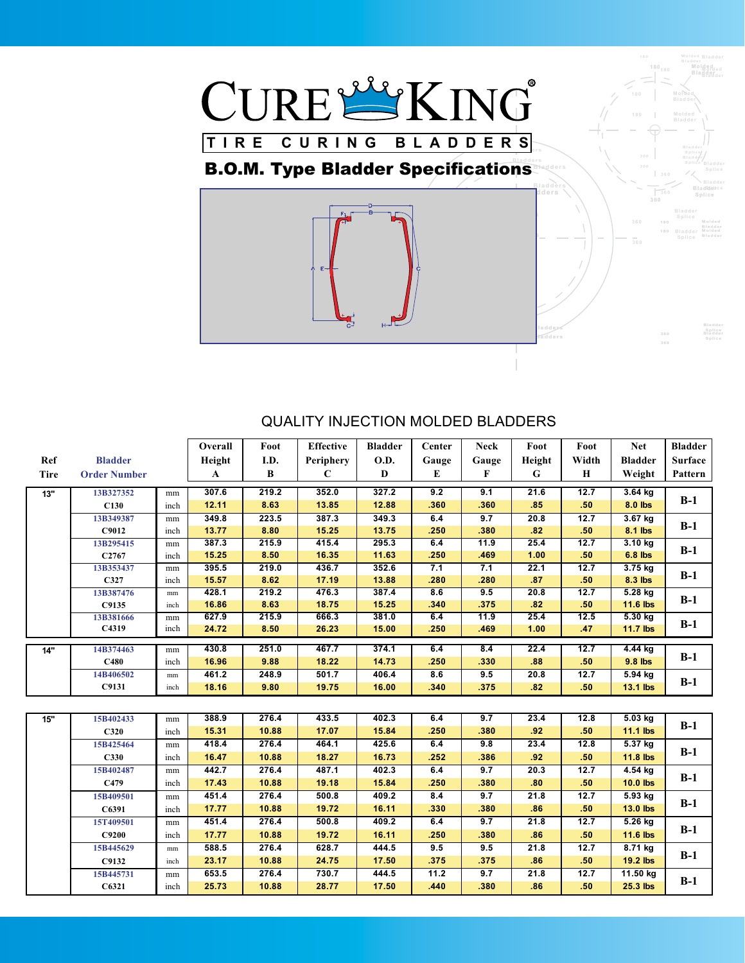

#### **B.O.M. Type Bladder Specifications Bladders Splice** Bladder **Bladder**

**Bladder**<br>**Bladder Splice** 

**Molded**

**Molded Bladder**

**Bladder**

**Molded**



|             |                     |            | Overall | Foot  | <b>Effective</b> | <b>Bladder</b> | Center | <b>Neck</b> | Foot   | Foot             | <b>Net</b>      | <b>Bladder</b> |
|-------------|---------------------|------------|---------|-------|------------------|----------------|--------|-------------|--------|------------------|-----------------|----------------|
| Ref         | <b>Bladder</b>      |            | Height  | I.D.  | Periphery        | <b>O.D.</b>    | Gauge  | Gauge       | Height | Width            | <b>Bladder</b>  | <b>Surface</b> |
| <b>Tire</b> | <b>Order Number</b> |            | A       | B     | $\mathbf C$      | D              | E      | F           | G      | H                | Weight          | Pattern        |
|             |                     |            |         |       |                  |                |        |             |        |                  |                 |                |
| 13"         | 13B327352           | mm         | 307.6   | 219.2 | 352.0            | 327.2          | 9.2    | 9.1         | 21.6   | 12.7             | $3.64$ kg       | $B-1$          |
|             | C130                | inch       | 12.11   | 8.63  | 13.85            | 12.88          | .360   | .360        | .85    | .50              | 8.0 lbs         |                |
|             | 13B349387           | mm         | 349.8   | 223.5 | 387.3            | 349.3          | 6.4    | 9.7         | 20.8   | 12.7             | 3.67 kg         | $B-1$          |
|             | C9012               | inch       | 13.77   | 8.80  | 15.25            | 13.75          | .250   | .380        | .82    | .50 <sub>0</sub> | 8.1 lbs         |                |
|             | 13B295415           | mm         | 387.3   | 215.9 | 415.4            | 295.3          | 6.4    | 11.9        | 25.4   | 12.7             | $3.10$ kg       |                |
|             | C <sub>2767</sub>   | inch       | 15.25   | 8.50  | 16.35            | 11.63          | .250   | .469        | 1.00   | .50              | $6.8$ lbs       | $B-1$          |
|             | 13B353437           | mm         | 395.5   | 219.0 | 436.7            | 352.6          | 7.1    | 7.1         | 22.1   | 12.7             | 3.75 kg         |                |
|             | C327                | inch       | 15.57   | 8.62  | 17.19            | 13.88          | .280   | .280        | .87    | .50              | 8.3 lbs         | $B-1$          |
|             | 13B387476           | $\rm mm$   | 428.1   | 219.2 | 476.3            | 387.4          | 8.6    | 9.5         | 20.8   | 12.7             | 5.28 kg         |                |
|             | C9135               | inch       | 16.86   | 8.63  | 18.75            | 15.25          | .340   | .375        | .82    | .50 <sub>0</sub> | <b>11.6 lbs</b> | $B-1$          |
|             | 13B381666           | mm         | 627.9   | 215.9 | 666.3            | 381.0          | 6.4    | 11.9        | 25.4   | 12.5             | $5.30$ kg       |                |
|             | C4319               | inch       | 24.72   | 8.50  | 26.23            | 15.00          | .250   | .469        | 1.00   | .47              | 11.7 lbs        | $B-1$          |
|             | 14B374463           |            | 430.8   | 251.0 | 467.7            | 374.1          | 6.4    | 8.4         | 22.4   | 12.7             | 4.44 kg         |                |
| 14"         | C480                | mm         | 16.96   | 9.88  | 18.22            | 14.73          | .250   | .330        | .88    | .50              | 9.8 lbs         | $B-1$          |
|             |                     | inch       | 461.2   |       | 501.7            |                |        |             | 20.8   |                  |                 |                |
|             | 14B406502           | $\rm mm$   |         | 248.9 |                  | 406.4          | 8.6    | 9.5         |        | 12.7             | 5.94 kg         | $B-1$          |
|             | C9131               | inch       | 18.16   | 9.80  | 19.75            | 16.00          | .340   | .375        | .82    | .50 <sub>1</sub> | 13.1 lbs        |                |
|             |                     |            |         |       |                  |                |        |             |        |                  |                 |                |
| 15"         | 15B402433           | mm         | 388.9   | 276.4 | 433.5            | 402.3          | 6.4    | 9.7         | 23.4   | 12.8             | $5.03$ kg       |                |
|             | C320                | inch       | 15.31   | 10.88 | 17.07            | 15.84          | .250   | .380        | .92    | .50              | <b>11.1 lbs</b> | $B-1$          |
|             | 15B425464           | mm         | 418.4   | 276.4 | 464.1            | 425.6          | 6.4    | 9.8         | 23.4   | 12.8             | 5.37 kg         |                |
|             | C330                | inch       | 16.47   | 10.88 | 18.27            | 16.73          | .252   | .386        | .92    | .50              | 11.8 lbs        | $B-1$          |
|             | 15B402487           | mm         | 442.7   | 276.4 | 487.1            | 402.3          | 6.4    | 9.7         | 20.3   | 12.7             | 4.54 kg         |                |
|             | C479                | inch       | 17.43   | 10.88 | 19.18            | 15.84          | .250   | .380        | .80    | .50              | $10.0$ lbs      | $B-1$          |
|             | 15B409501           | mm         | 451.4   | 276.4 | 500.8            | 409.2          | 8.4    | 9.7         | 21.8   | 12.7             | 5.93 kg         |                |
|             | C6391               | inch       | 17.77   | 10.88 | 19.72            | 16.11          | .330   | .380        | .86    | .50              | <b>13.0 lbs</b> | $B-1$          |
|             | 15T409501           | mm         | 451.4   | 276.4 | 500.8            | 409.2          | 6.4    | 9.7         | 21.8   | 12.7             | $5.26$ kg       |                |
|             | C9200               | inch       | 17.77   | 10.88 | 19.72            | 16.11          | .250   | .380        | .86    | .50              | 11.6 lbs        | $B-1$          |
|             | 15B445629           | mm         | 588.5   | 276.4 | 628.7            | 444.5          | 9.5    | 9.5         | 21.8   | 12.7             | $8.71$ kg       |                |
|             | C9132               | inch       | 23.17   | 10.88 | 24.75            | 17.50          | .375   | .375        | .86    | .50 <sub>0</sub> | <b>19.2 lbs</b> | $B-1$          |
|             |                     |            | 653.5   | 276.4 | 730.7            | 444.5          | 11.2   | 9.7         | 21.8   | 12.7             | 11.50 kg        |                |
|             | 15B445731           | mm<br>inch |         |       |                  |                |        |             |        |                  |                 | $B-1$          |
|             | C6321               |            | 25.73   | 10.88 | 28.77            | 17.50          | .440   | .380        | .86    | .50              | 25.3 lbs        |                |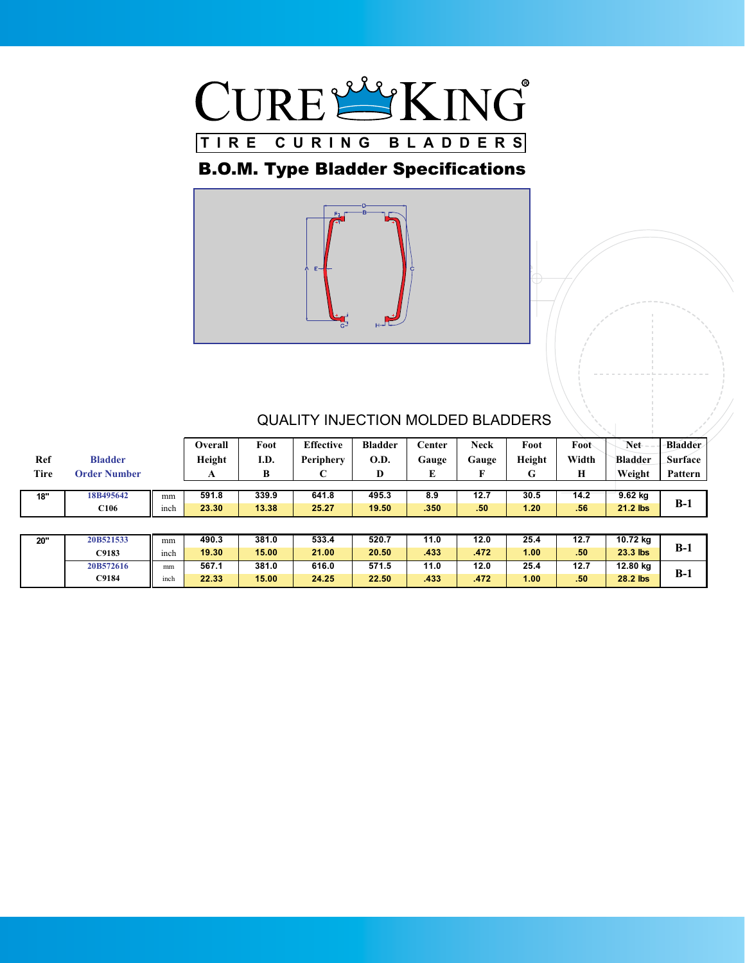

## B.O.M. Type Bladder Specifications



| Ref<br>Tire | <b>Bladder</b><br><b>Order Number</b> |      | Overall<br>Height<br>A | Foot<br>I.D.<br>В | <b>Effective</b><br>Periphery<br>◡ | <b>Bladder</b><br><b>O.D.</b><br>D | Center<br>Gauge<br>E | <b>Neck</b><br>Gauge<br>F | Foot<br>Height<br>G | Foot<br>Width<br>Н | Net<br><b>Bladder</b><br>Weight | <b>Bladder</b><br><b>Surface</b><br>Pattern |
|-------------|---------------------------------------|------|------------------------|-------------------|------------------------------------|------------------------------------|----------------------|---------------------------|---------------------|--------------------|---------------------------------|---------------------------------------------|
| 18"         | 18B495642                             | mm   | 591.8                  | 339.9             | 641.8                              | 495.3                              | 8.9                  | 12.7                      | 30.5                | 14.2               | $9.62$ kg                       |                                             |
|             | C <sub>106</sub>                      | inch | 23.30                  | 13.38             | 25.27                              | 19.50                              | .350                 | .50 <sub>0</sub>          | 1.20                | .56                | 21.2 lbs                        | $B-1$                                       |
|             |                                       |      |                        |                   |                                    |                                    |                      |                           |                     |                    |                                 |                                             |
| 20"         | 20B521533                             | mm   | 490.3                  | 381.0             | 533.4                              | 520.7                              | 11.0                 | 12.0                      | 25.4                | 12.7               | 10.72 kg                        |                                             |
|             | C9183                                 | inch | 19.30                  | 15.00             | 21.00                              | 20.50                              | .433                 | .472                      | 1.00 <sub>1</sub>   | .50 <sub>0</sub>   | $23.3$ lbs                      | $B-1$                                       |
|             | 20B572616                             | mm   | 567.1                  | 381.0             | 616.0                              | 571.5                              | 11.0                 | 12.0                      | 25.4                | 12.7               | 12.80 kg                        |                                             |
|             | C9184                                 | inch | 22.33                  | 15.00             | 24.25                              | 22.50                              | .433                 | .472                      | 1.00 <sub>1</sub>   | .50                | 28.2 lbs                        | $B-1$                                       |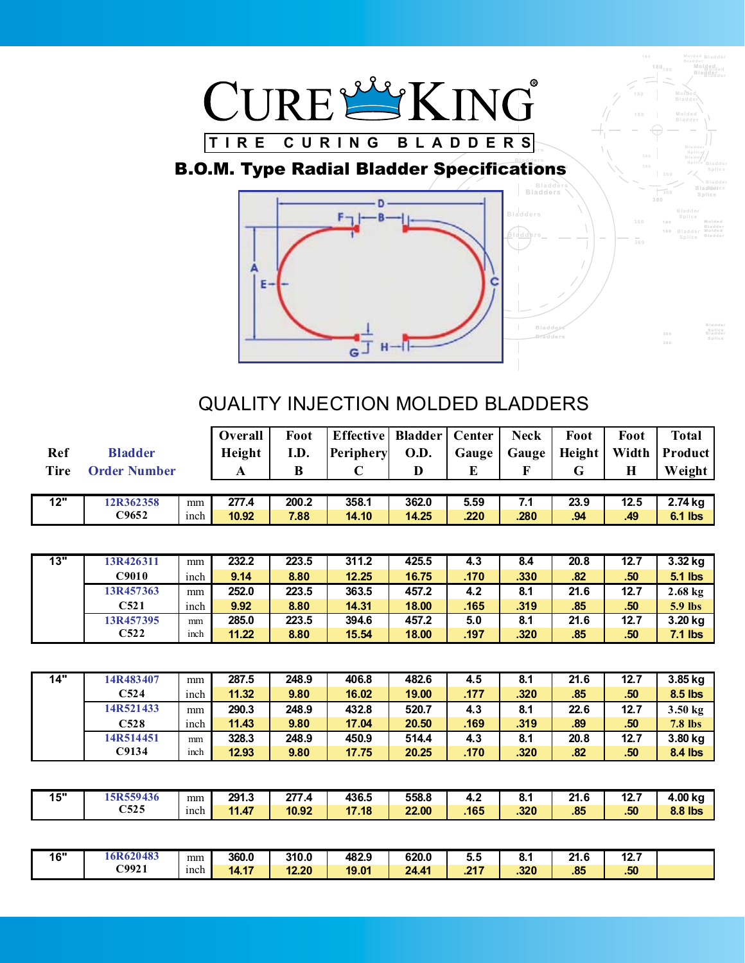

#### **B.O.M. Type Radial Bladder Specifications Bladders Containers Bladder**



**Bladder**

**Molded**

**Molded Bladder**

**180**

**Bladder Bladders Splice**

**Bladder Bladders Splice**

**Bladders Splice**<br>**Bladders Splice** 

|             |                     |      | Overall      | Foot     | <b>Effective</b> | <b>Bladder</b> | Center   | <b>Neck</b> | Foot   | Foot  | <b>Total</b>   |
|-------------|---------------------|------|--------------|----------|------------------|----------------|----------|-------------|--------|-------|----------------|
| Ref         | <b>Bladder</b>      |      | Height       | I.D.     | Periphery        | O.D.           | Gauge    | Gauge       | Height | Width | Product        |
| <b>Tire</b> | <b>Order Number</b> |      | $\mathbf{A}$ | $\bf{B}$ | $\mathbf C$      | D              | $\bf{E}$ | $\mathbf F$ | G      | H     | Weight         |
|             |                     |      |              |          |                  |                |          |             |        |       |                |
| 12"         | 12R362358           | mm   | 277.4        | 200.2    | 358.1            | 362.0          | 5.59     | 7.1         | 23.9   | 12.5  | 2.74 kg        |
|             | C9652               | inch | 10.92        | 7.88     | 14.10            | 14.25          | .220     | .280        | .94    | .49   | <b>6.1 lbs</b> |
|             |                     |      |              |          |                  |                |          |             |        |       |                |
|             |                     |      |              |          |                  |                |          |             |        |       |                |
| 13"         | 13R426311           | mm   | 232.2        | 223.5    | 311.2            | 425.5          | 4.3      | 8.4         | 20.8   | 12.7  | 3.32 kg        |
|             | C9010               | inch | 9.14         | 8.80     | 12.25            | 16.75          | .170     | .330        | .82    | .50   | <b>5.1 lbs</b> |
|             | 13R457363           | mm   | 252.0        | 223.5    | 363.5            | 457.2          | 4.2      | 8.1         | 21.6   | 12.7  | $2.68$ kg      |
|             | C521                | inch | 9.92         | 8.80     | 14.31            | 18.00          | .165     | .319        | .85    | .50   | 5.9 lbs        |
|             | 13R457395           | mm   | 285.0        | 223.5    | 394.6            | 457.2          | 5.0      | 8.1         | 21.6   | 12.7  | 3.20 kg        |
|             | C <sub>522</sub>    | inch | 11.22        | 8.80     | 15.54            | 18.00          | .197     | .320        | .85    | .50   | $7.1$ lbs      |
|             |                     |      |              |          |                  |                |          |             |        |       |                |
|             |                     |      |              |          |                  |                |          |             |        |       |                |
| 14"         | 14R483407           | mm   | 287.5        | 248.9    | 406.8            | 482.6          | 4.5      | 8.1         | 21.6   | 12.7  | 3.85 kg        |
|             | C524                | inch | 11.32        | 9.80     | 16.02            | 19.00          | .177     | .320        | .85    | .50   | 8.5 lbs        |
|             | 14R521433           | mm   | 290.3        | 248.9    | 432.8            | 520.7          | 4.3      | 8.1         | 22.6   | 12.7  | 3.50 kg        |
|             | C528                | inch | 11.43        | 9.80     | 17.04            | 20.50          | .169     | .319        | .89    | .50   | <b>7.8 lbs</b> |
|             | 14R514451           | mm   | 328.3        | 248.9    | 450.9            | 514.4          | 4.3      | 8.1         | 20.8   | 12.7  | 3.80 kg        |
|             | C9134               | inch | 12.93        | 9.80     | 17.75            | 20.25          | .170     | .320        | .82    | .50   | <b>8.4 lbs</b> |
|             |                     |      |              |          |                  |                |          |             |        |       |                |
|             |                     |      |              |          |                  |                |          |             |        |       |                |
| 15"         | 15R559436           | mm   | 291.3        | 277.4    | 436.5            | 558.8          | 4.2      | 8.1         | 21.6   | 12.7  | 4.00 kg        |
|             | C525                | inch | 11.47        | 10.92    | 17.18            | 22.00          | .165     | .320        | .85    | .50   | <b>8.8 lbs</b> |
|             |                     |      |              |          |                  |                |          |             |        |       |                |
|             |                     |      |              |          |                  |                |          |             |        |       |                |
| 16"         | 16R620483           | mm   | 360.0        | 310.0    | 482.9            | 620.0          | 5.5      | 8.1         | 21.6   | 12.7  |                |
|             | C9921               | inch | 14.17        | 12.20    | 19.01            | 24.41          | .217     | .320        | .85    | .50   |                |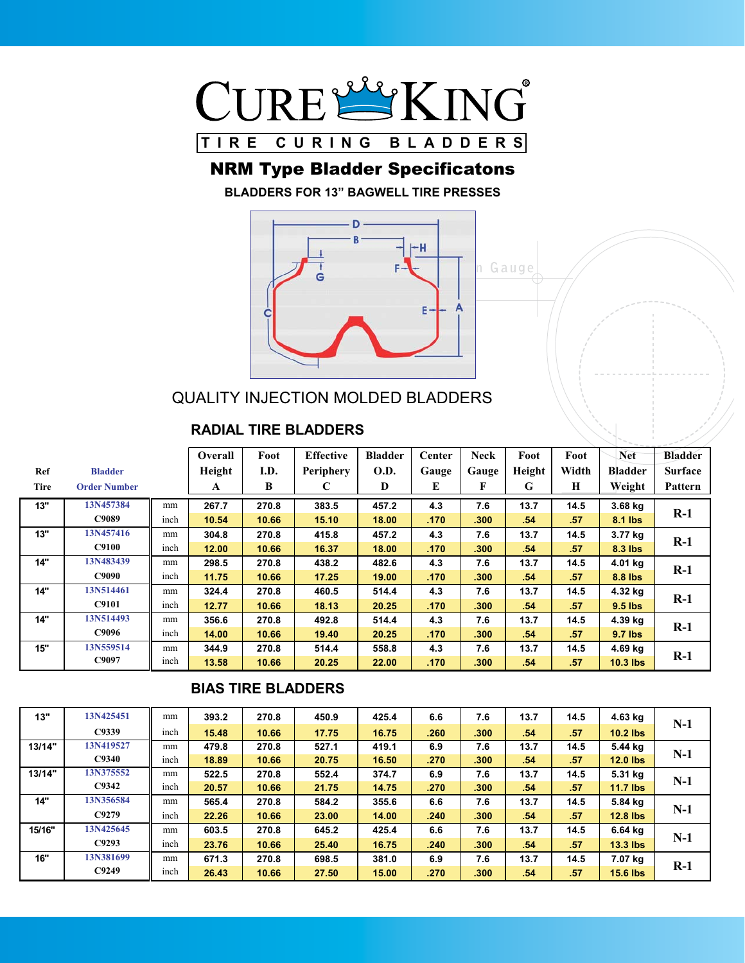

## NRM Type Bladder Specificatons

**BLADDERS FOR 13" BAGWELL TIRE PRESSES**



QUALITY INJECTION MOLDED BLADDERS

#### **RADIAL TIRE BLADDERS**

|      |                     |      | Overall      | Foot  | <b>Effective</b> | <b>Bladder</b> | <b>Center</b> | <b>Neck</b> | Foot   | Foot             | <b>Net</b>     | <b>Bladder</b> |
|------|---------------------|------|--------------|-------|------------------|----------------|---------------|-------------|--------|------------------|----------------|----------------|
| Ref  | <b>Bladder</b>      |      | Height       | I.D.  | <b>Periphery</b> | <b>O.D.</b>    | Gauge         | Gauge       | Height | Width            | <b>Bladder</b> | <b>Surface</b> |
| Tire | <b>Order Number</b> |      | $\mathbf{A}$ | B     | С                | D              | E             | F           | G      | Н                | Weight         | Pattern        |
| 13"  | 13N457384           | mm   | 267.7        | 270.8 | 383.5            | 457.2          | 4.3           | 7.6         | 13.7   | 14.5             | 3.68 kg        |                |
|      | C9089               | inch | 10.54        | 10.66 | 15.10            | 18.00          | .170          | .300        | .54    | .57              | 8.1 lbs        | $R-1$          |
| 13"  | 13N457416           | mm   | 304.8        | 270.8 | 415.8            | 457.2          | 4.3           | 7.6         | 13.7   | 14.5             | 3.77 kg        | $R-1$          |
|      | <b>C9100</b>        | inch | 12.00        | 10.66 | 16.37            | 18.00          | .170          | .300        | .54    | .57              | 8.3 lbs        |                |
| 14"  | 13N483439           | mm   | 298.5        | 270.8 | 438.2            | 482.6          | 4.3           | 7.6         | 13.7   | 14.5             | 4.01 kg        | $R-1$          |
|      | C9090               | inch | 11.75        | 10.66 | 17.25            | 19.00          | .170          | .300        | .54    | .57              | 8.8 lbs        |                |
| 14"  | 13N514461           | mm   | 324.4        | 270.8 | 460.5            | 514.4          | 4.3           | 7.6         | 13.7   | 14.5             | 4.32 kg        |                |
|      | <b>C9101</b>        | inch | 12.77        | 10.66 | 18.13            | 20.25          | .170          | .300        | .54    | .57              | $9.5$ lbs      | $R-1$          |
| 14"  | 13N514493           | mm   | 356.6        | 270.8 | 492.8            | 514.4          | 4.3           | 7.6         | 13.7   | 14.5             | 4.39 kg        | $R-1$          |
|      | C9096               | inch | 14.00        | 10.66 | 19.40            | 20.25          | .170          | .300        | .54    | .57              | 9.7 lbs        |                |
| 15"  | 13N559514           | mm   | 344.9        | 270.8 | 514.4            | 558.8          | 4.3           | 7.6         | 13.7   | 14.5             | 4.69 kg        |                |
|      | C9097               | inch | 13.58        | 10.66 | 20.25            | 22.00          | .170          | .300        | .54    | .57 <sub>2</sub> | $10.3$ lbs     | $R-1$          |

#### **BIAS TIRE BLADDERS**

| 13"    | 13N425451 | mm   | 393.2 | 270.8 | 450.9 | 425.4 | 6.6  | 7.6  | 13.7 | 14.5 | 4.63 kg         |       |
|--------|-----------|------|-------|-------|-------|-------|------|------|------|------|-----------------|-------|
|        | C9339     | inch | 15.48 | 10.66 | 17.75 | 16.75 | .260 | .300 | .54  | .57  | $10.2$ lbs      | $N-1$ |
| 13/14" | 13N419527 | mm   | 479.8 | 270.8 | 527.1 | 419.1 | 6.9  | 7.6  | 13.7 | 14.5 | 5.44 ka         |       |
|        | C9340     | inch | 18.89 | 10.66 | 20.75 | 16.50 | .270 | .300 | .54  | .57  | $12.0$ lbs      | $N-1$ |
| 13/14" | 13N375552 | mm   | 522.5 | 270.8 | 552.4 | 374.7 | 6.9  | 7.6  | 13.7 | 14.5 | 5.31 ka         |       |
|        | C9342     | inch | 20.57 | 10.66 | 21.75 | 14.75 | .270 | .300 | .54  | .57  | $11.7$ lbs      | $N-1$ |
| 14"    | 13N356584 | mm   | 565.4 | 270.8 | 584.2 | 355.6 | 6.6  | 7.6  | 13.7 | 14.5 | 5.84 kg         | $N-1$ |
|        | C9279     | inch | 22.26 | 10.66 | 23.00 | 14.00 | .240 | .300 | .54  | .57  | $12.8$ lbs      |       |
| 15/16" | 13N425645 | mm   | 603.5 | 270.8 | 645.2 | 425.4 | 6.6  | 7.6  | 13.7 | 14.5 | 6.64 kg         | $N-1$ |
|        | C9293     | inch | 23.76 | 10.66 | 25.40 | 16.75 | .240 | .300 | .54  | .57  | $13.3$ lbs      |       |
| 16"    | 13N381699 | mm   | 671.3 | 270.8 | 698.5 | 381.0 | 6.9  | 7.6  | 13.7 | 14.5 | 7.07 kg         | $R-1$ |
|        | C9249     | inch | 26.43 | 10.66 | 27.50 | 15.00 | .270 | .300 | .54  | .57  | <b>15.6 lbs</b> |       |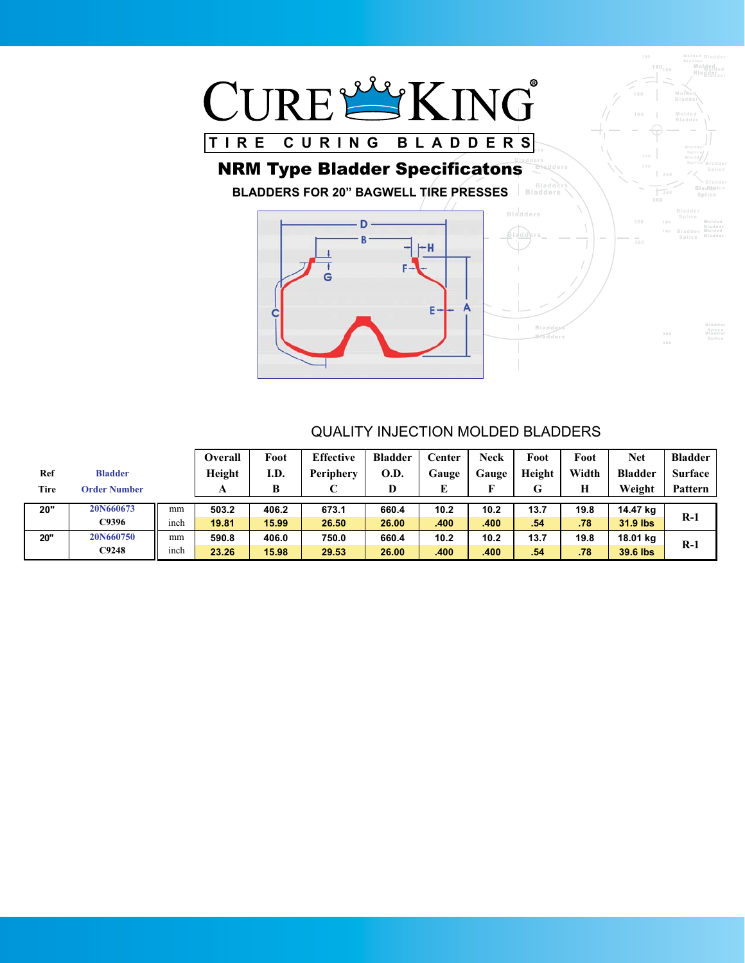

#### **Bladder Bladders Splice** NRM Type Bladder Specificatons

**BLADDERS FOR 20" BAGWELL TIRE PRESSES** Saladders **Splitter Space Splice** 



#### QUALITY INJECTION MOLDED BLADDERS

**Bladder Bladders Splice**

**Bladder**

**Molded**

**Molded**

**180 180**

**360**

**360**

**Bladder Bladders Splice**

**Bladder Bladders Splice**

**Bladders Splice** Bladder **Bladder** 

**Bladder Bladders Splice**

|      |                     |      | Overall | Foot  | <b>Effective</b> | <b>Bladder</b> | Center | <b>Neck</b> | Foot   | Foot  | <b>Net</b>     | <b>Bladder</b> |
|------|---------------------|------|---------|-------|------------------|----------------|--------|-------------|--------|-------|----------------|----------------|
| Ref  | <b>Bladder</b>      |      | Height  | I.D.  | Periphery        | O.D.           | Gauge  | Gauge       | Height | Width | <b>Bladder</b> | <b>Surface</b> |
| Tire | <b>Order Number</b> |      |         |       |                  | D              | г      | F           | G      | Н     | Weight         | Pattern        |
|      |                     |      |         |       |                  |                |        |             |        |       |                |                |
| 20"  | 20N660673           | mm   | 503.2   | 406.2 | 673.1            | 660.4          | 10.2   | 10.2        | 13.7   | 19.8  | 14.47 kg       |                |
|      | C9396               | inch | 19.81   | 15.99 | 26.50            | 26.00          | .400   | .400        | .54    | .78   | 31.9 lbs       | $R-1$          |
| 20"  | 20N660750           | mm   | 590.8   | 406.0 | 750.0            | 660.4          | 10.2   | 10.2        | 13.7   | 19.8  | 18.01 kg       |                |
|      | C9248               | inch | 23.26   | 15.98 | 29.53            | 26.00          | .400   | .400        | .54    | .78   | 39.6 lbs       | $R-1$          |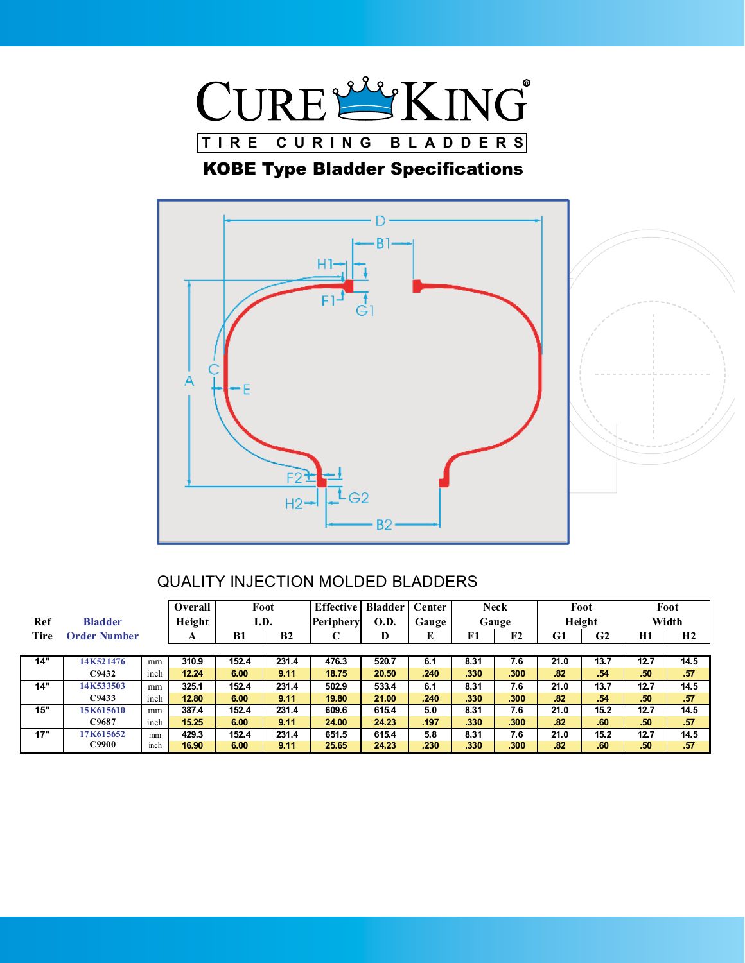

## KOBE Type Bladder Specifications



|      |                     |      | Overall | Foot  |                | <b>Effective</b> | <b>Bladder</b> | Center |      | <b>Neck</b> |      | Foot           |                  | Foot  |
|------|---------------------|------|---------|-------|----------------|------------------|----------------|--------|------|-------------|------|----------------|------------------|-------|
| Ref  | <b>Bladder</b>      |      | Height  | I.D.  |                | Periphery        | <b>O.D.</b>    | Gauge  |      | Gauge       |      | Height         |                  | Width |
| Tire | <b>Order Number</b> |      | A       | B1    | B <sub>2</sub> |                  | D              | E      | F1   | F2          | G1   | G <sub>2</sub> | H1               | H2    |
|      |                     |      |         |       |                |                  |                |        |      |             |      |                |                  |       |
| 14"  | 14K521476           | mm   | 310.9   | 152.4 | 231.4          | 476.3            | 520.7          | 6.1    | 8.31 | 7.6         | 21.0 | 13.7           | 12.7             | 14.5  |
|      | C9432               | inch | 12.24   | 6.00  | 9.11           | 18.75            | 20.50          | .240   | .330 | .300        | .82  | .54            | .50 <sub>7</sub> | .57   |
| 14"  | 14K533503           | mm   | 325.1   | 152.4 | 231.4          | 502.9            | 533.4          | 6.1    | 8.31 | 7.6         | 21.0 | 13.7           | 12.7             | 14.5  |
|      | C9433               | inch | 12.80   | 6.00  | 9.11           | 19.80            | 21.00          | .240   | .330 | .300        | .82  | .54            | .50              | .57   |
| 15"  | 15K615610           | mm   | 387.4   | 152.4 | 231.4          | 609.6            | 615.4          | 5.0    | 8.31 | 7.6         | 21.0 | 15.2           | 12.7             | 14.5  |
|      | C9687               | inch | 15.25   | 6.00  | 9.11           | 24.00            | 24.23          | .197   | .330 | .300        | .82  | .60            | .50              | .57   |
| 17"  | 17K615652           | mm   | 429.3   | 152.4 | 231.4          | 651.5            | 615.4          | 5.8    | 8.31 | 7.6         | 21.0 | 15.2           | 12.7             | 14.5  |
|      | C9900               | inch | 16.90   | 6.00  | 9.11           | 25.65            | 24.23          | .230   | .330 | .300        | .82  | .60            | .50              | .57   |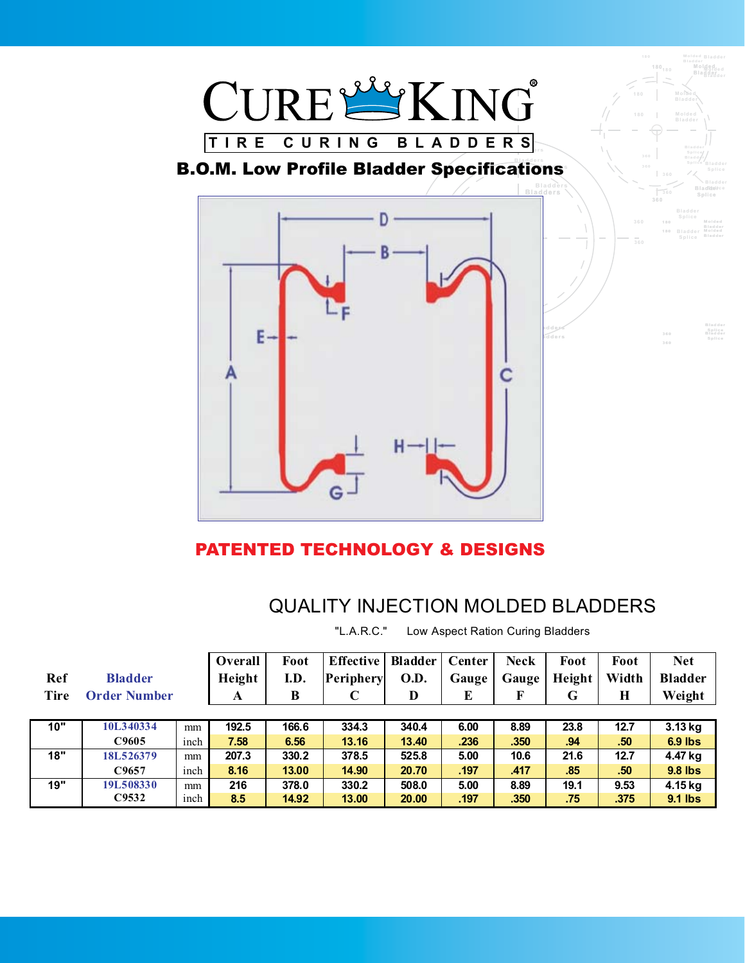

## PATENTED TECHNOLOGY & DESIGNS

## QUALITY INJECTION MOLDED BLADDERS

"L.A.R.C." Low Aspect Ration Curing Bladders

| Ref<br>Tire | <b>Bladder</b><br><b>Order Number</b> |      | Overall<br>Height | Foot<br>I.D.<br>B | <b>Effective</b><br>Periphery | <b>Bladder</b><br>O.D.<br>D | Center<br>Gauge<br>E | <b>Neck</b><br>Gauge<br>F | Foot<br>Height<br>G | Foot<br>Width<br>$\bf H$ | <b>Net</b><br><b>Bladder</b> |
|-------------|---------------------------------------|------|-------------------|-------------------|-------------------------------|-----------------------------|----------------------|---------------------------|---------------------|--------------------------|------------------------------|
|             |                                       |      | A                 |                   | $\mathbf C$                   |                             |                      |                           |                     |                          | Weight                       |
|             |                                       |      |                   |                   |                               |                             |                      |                           |                     |                          |                              |
| 10"         | 10L340334                             | mm   | 192.5             | 166.6             | 334.3                         | 340.4                       | 6.00                 | 8.89                      | 23.8                | 12.7                     | 3.13 kg                      |
|             | C9605                                 | inch | 7.58              | 6.56              | 13.16                         | 13.40                       | .236                 | .350                      | .94                 | .50                      | $6.9$ lbs                    |
| 18"         | 18L526379                             | mm   | 207.3             | 330.2             | 378.5                         | 525.8                       | 5.00                 | 10.6                      | 21.6                | 12.7                     | 4.47 kg                      |
|             | C9657                                 | inch | 8.16              | 13.00             | 14.90                         | 20.70                       | .197                 | .417                      | .85                 | .50                      | 9.8 lbs                      |
| 19"         | 19L508330                             | mm   | 216               | 378.0             | 330.2                         | 508.0                       | 5.00                 | 8.89                      | 19.1                | 9.53                     | 4.15 kg                      |
|             | C9532                                 | inch | 8.5               | 14.92             | 13.00                         | 20.00                       | .197                 | .350                      | .75                 | .375                     | 9.1 lbs                      |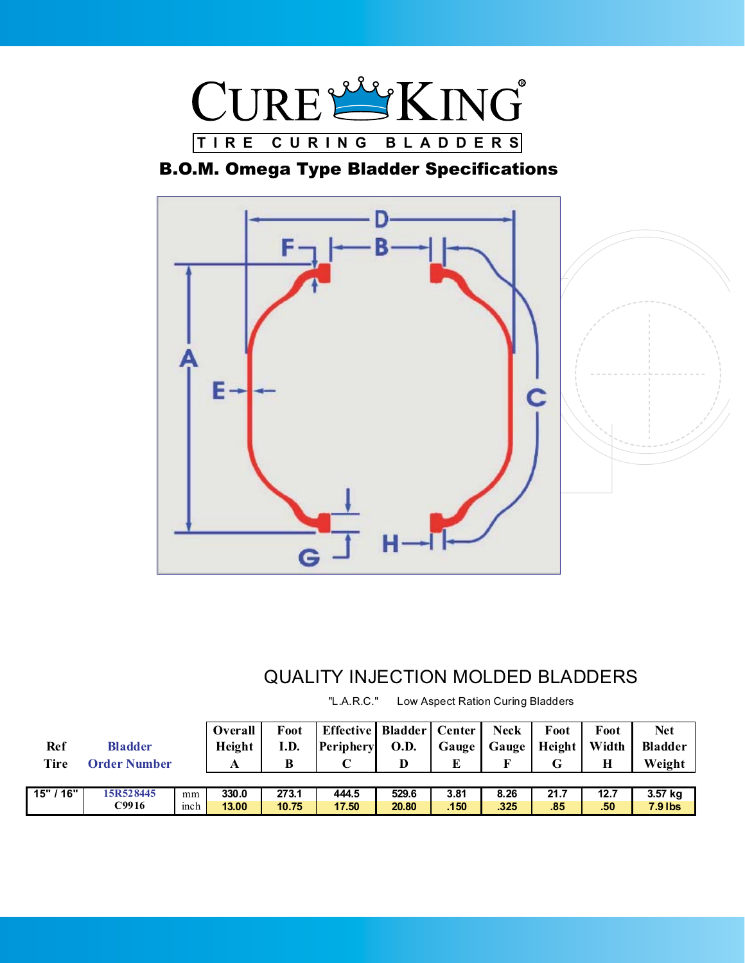

## B.O.M. Omega Type Bladder Specifications



## QUALITY INJECTION MOLDED BLADDERS

"L.A.R.C." Low Aspect Ration Curing Bladders

| Ref<br><b>Tire</b> | <b>Bladder</b><br><b>Order Number</b> |     | Overall<br>Height<br>А | Foot<br>I.D.<br>В | Effective   Bladder   Center<br><b>Periphery</b> | <b>O.D.</b><br>D | Gauge<br>E        | <b>Neck</b><br>Gauge | Foot<br>Height  <br>G | Foot<br>Width | <b>Net</b><br><b>Bladder</b><br>Weight |
|--------------------|---------------------------------------|-----|------------------------|-------------------|--------------------------------------------------|------------------|-------------------|----------------------|-----------------------|---------------|----------------------------------------|
|                    |                                       |     |                        |                   |                                                  |                  |                   |                      |                       |               |                                        |
| 15"/16"            | 15R528445                             | mm  | 330.0                  | 273.1             | 444.5                                            | 529.6            | 3.81              | 8.26                 | 21.7                  | 12.7          | 3.57 kg                                |
|                    | C9916                                 | mch | 13.00                  | 10.75             | 17.50                                            | 20.80            | .150 <sub>1</sub> | .325                 | .85                   | .50           | <b>7.9 lbs</b>                         |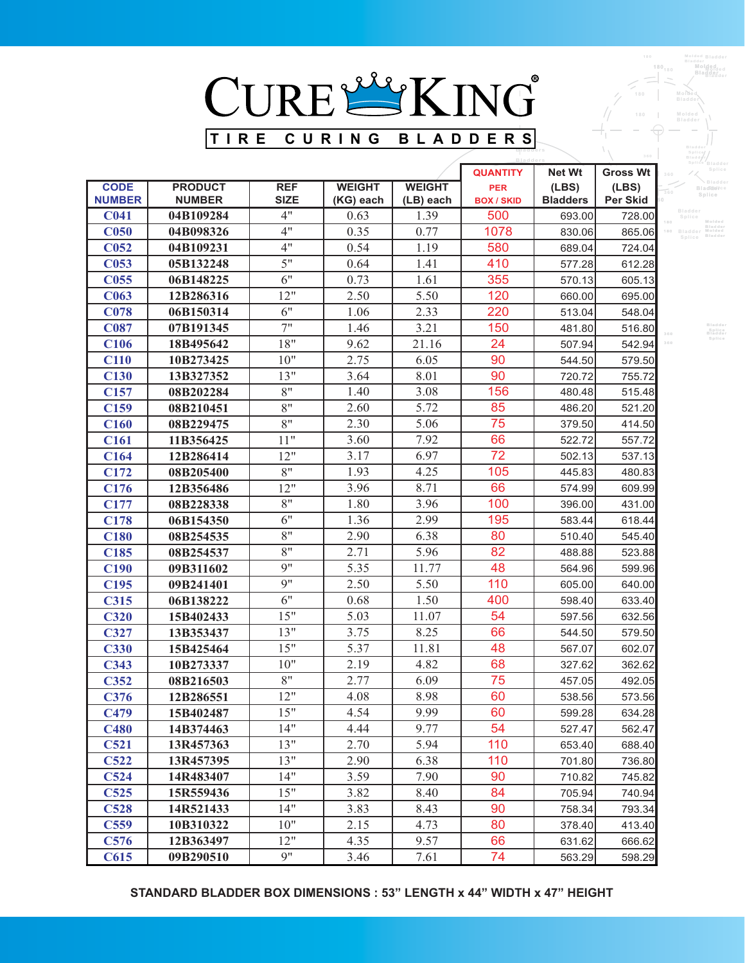

|                              |                                 |                           |                            |                   | <b>Bladders</b>                 |                          |                   | siassy.y<br>Splice Bladder                                    |
|------------------------------|---------------------------------|---------------------------|----------------------------|-------------------|---------------------------------|--------------------------|-------------------|---------------------------------------------------------------|
|                              |                                 |                           |                            |                   | <b>QUANTITY</b>                 | <b>Net Wt</b>            | <b>Gross Wt</b>   | Splice<br>360                                                 |
| <b>CODE</b><br><b>NUMBER</b> | <b>PRODUCT</b><br><b>NUMBER</b> | <b>REF</b><br><b>SIZE</b> | <b>WEIGHT</b><br>(KG) each | <b>WEIGHT</b>     | <b>PER</b><br><b>BOX / SKID</b> | (LES)<br><b>Bladders</b> | (LES)<br>Per Skid | <b>Blackler</b><br>360<br>Splice                              |
| <b>C041</b>                  | 04B109284                       | 4"                        | 0.63                       | (LB) each<br>1.39 | 500                             | 693.00                   | 728.00            | Bladder                                                       |
| C <sub>050</sub>             | 04B098326                       | 4"                        | 0.35                       | 0.77              | 1078                            | 830.06                   | 865.06            | Splice<br>Molded<br>Bladde<br>Molded<br><sup>10</sup> Bladder |
| C <sub>052</sub>             | 04B109231                       | 4"                        | 0.54                       | 1.19              | 580                             | 689.04                   | 724.04            | Bladde<br>Splice                                              |
| <b>C053</b>                  | 05B132248                       | 5"                        | 0.64                       | 1.41              | 410                             | 577.28                   | 612.28            |                                                               |
| C <sub>055</sub>             | 06B148225                       | 6"                        | 0.73                       | 1.61              | 355                             | 570.13                   | 605.13            |                                                               |
| <b>C063</b>                  | 12B286316                       | 12"                       | 2.50                       | 5.50              | 120                             | 660.00                   | 695.00            |                                                               |
| <b>C078</b>                  | 06B150314                       | 6"                        | 1.06                       | 2.33              | 220                             | 513.04                   | 548.04            |                                                               |
| <b>C087</b>                  | 07B191345                       | 7"                        | 1.46                       | 3.21              | 150                             | 481.80                   | 516.80            | Bladder                                                       |
| <b>C106</b>                  | 18B495642                       | 18"                       | 9.62                       | 21.16             | 24                              | 507.94                   | 542.94            | Splice<br>Bladder<br>Splice<br>360                            |
| <b>C110</b>                  | 10B273425                       | 10"                       | 2.75                       | 6.05              | 90                              | 544.50                   | 579.50            |                                                               |
| <b>C130</b>                  | 13B327352                       | 13"                       | 3.64                       | 8.01              | 90                              | 720.72                   | 755.72            |                                                               |
| C <sub>157</sub>             | 08B202284                       | 8"                        | 1.40                       | 3.08              | 156                             | 480.48                   | 515.48            |                                                               |
| C159                         | 08B210451                       | 8"                        | 2.60                       | 5.72              | 85                              | 486.20                   | 521.20            |                                                               |
| C160                         | 08B229475                       | 8"                        | 2.30                       | 5.06              | 75                              | 379.50                   | 414.50            |                                                               |
| C <sub>161</sub>             | 11B356425                       | 11"                       | 3.60                       | 7.92              | 66                              | 522.72                   | 557.72            |                                                               |
| C <sub>164</sub>             | 12B286414                       | 12"                       | 3.17                       | 6.97              | 72                              | 502.13                   | 537.13            |                                                               |
| C172                         | 08B205400                       | 8"                        | 1.93                       | 4.25              | 105                             | 445.83                   | 480.83            |                                                               |
| C176                         | 12B356486                       | 12"                       | 3.96                       | 8.71              | 66                              | 574.99                   | 609.99            |                                                               |
| C177                         | 08B228338                       | 8"                        | 1.80                       | 3.96              | 100                             | 396.00                   | 431.00            |                                                               |
| C178                         | 06B154350                       | 6"                        | 1.36                       | 2.99              | 195                             | 583.44                   | 618.44            |                                                               |
| <b>C180</b>                  | 08B254535                       | 8"                        | 2.90                       | 6.38              | 80                              | 510.40                   | 545.40            |                                                               |
| C <sub>185</sub>             | 08B254537                       | 8"                        | 2.71                       | 5.96              | 82                              | 488.88                   | 523.88            |                                                               |
| <b>C190</b>                  | 09B311602                       | 9"                        | 5.35                       | 11.77             | 48                              | 564.96                   | 599.96            |                                                               |
| C <sub>195</sub>             | 09B241401                       | 9"                        | 2.50                       | 5.50              | 110                             | 605.00                   | 640.00            |                                                               |
| <b>C315</b>                  | 06B138222                       | 6"                        | 0.68                       | 1.50              | 400                             | 598.40                   | 633.40            |                                                               |
| <b>C320</b>                  | 15B402433                       | 15"                       | 5.03                       | 11.07             | 54                              | 597.56                   | 632.56            |                                                               |
| <b>C327</b>                  | 13B353437                       | 13"                       | 3.75                       | 8.25              | 66                              | 544.50                   | 579.50            |                                                               |
| <b>C330</b>                  | 15B425464                       | 15"                       | 5.37                       | 11.81             | 48                              | 567.07                   | 602.07            |                                                               |
| <b>C343</b>                  | 10B273337                       | 10"                       | 2.19                       | 4.82              | 68                              | 327.62                   | 362.62            |                                                               |
| <b>C352</b>                  | 08B216503                       | 8"                        | 2.77                       | 6.09              | 75                              | 457.05                   | 492.05            |                                                               |
| C376                         | 12B286551                       | 12"                       | 4.08                       | 8.98              | 60                              | 538.56                   | 573.56            |                                                               |
| C479                         | 15B402487                       | 15"                       | 4.54                       | 9.99              | 60                              | 599.28                   | 634.28            |                                                               |
| <b>C480</b>                  | 14B374463                       | 14"                       | 4.44                       | 9.77              | 54                              | 527.47                   | 562.47            |                                                               |
| <b>C521</b>                  | 13R457363                       | 13"                       | 2.70                       | 5.94              | 110                             | 653.40                   | 688.40            |                                                               |
| <b>C522</b>                  | 13R457395                       | 13"                       | 2.90                       | 6.38              | 110                             | 701.80                   | 736.80            |                                                               |
| C524                         | 14R483407                       | 14"                       | 3.59                       | 7.90              | 90                              | 710.82                   | 745.82            |                                                               |
| C525                         | 15R559436                       | 15"                       | 3.82                       | 8.40              | 84                              | 705.94                   | 740.94            |                                                               |
| <b>C528</b>                  | 14R521433                       | 14"                       | 3.83                       | 8.43              | 90                              | 758.34                   | 793.34            |                                                               |
| C559                         | 10B310322                       | 10"                       | 2.15                       | 4.73              | 80                              | 378.40                   | 413.40            |                                                               |
| C576                         | 12B363497                       | 12"                       | 4.35                       | 9.57              | 66                              | 631.62                   | 666.62            |                                                               |
| C615                         | 09B290510                       | 9"                        | 3.46                       | 7.61              | 74                              | 563.29                   | 598.29            |                                                               |

**Bladder Molded Bladder Molded Bladder**

**180**

**STANDARD BLADDER BOX DIMENSIONS : 53" LENGTH x 44" WIDTH x 47" HEIGHT**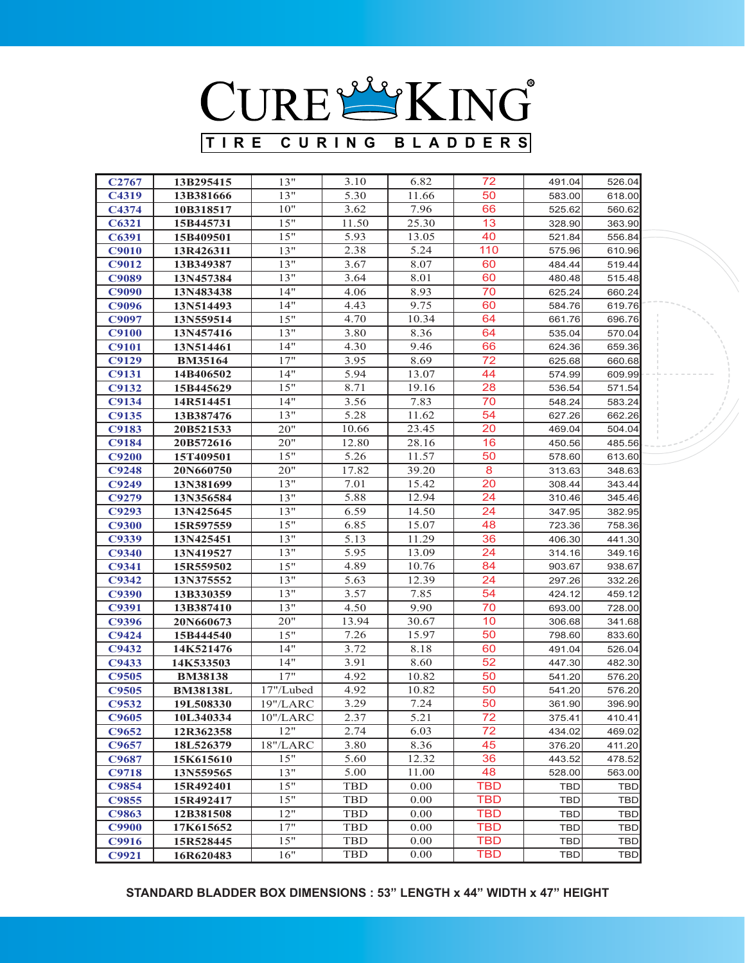#### **STANDARD BLADDER BOX DIMENSIONS : 53" LENGTH x 44" WIDTH x 47" HEIGHT**

| C <sub>2767</sub> | 13B295415       | 13"        | 3.10       | 6.82  | 72              | 491.04     | 526.04     |
|-------------------|-----------------|------------|------------|-------|-----------------|------------|------------|
| C4319             | 13B381666       | 13"        | 5.30       | 11.66 | 50              | 583.00     | 618.00     |
| C4374             | 10B318517       | 10"        | 3.62       | 7.96  | 66              | 525.62     | 560.62     |
| C6321             | 15B445731       | 15"        | 11.50      | 25.30 | 13              | 328.90     | 363.90     |
| C6391             | 15B409501       | 15"        | 5.93       | 13.05 | 40              | 521.84     | 556.84     |
| <b>C9010</b>      | 13R426311       | 13"        | 2.38       | 5.24  | 110             | 575.96     | 610.96     |
| C9012             | 13B349387       | 13"        | 3.67       | 8.07  | 60              | 484.44     | 519.44     |
| <b>C9089</b>      | 13N457384       | 13"        | 3.64       | 8.01  | 60              | 480.48     | 515.48     |
| <b>C9090</b>      | 13N483438       | 14"        | 4.06       | 8.93  | 70              | 625.24     | 660.24     |
| C9096             | 13N514493       | 14"        | 4.43       | 9.75  | 60              | 584.76     | 619.76     |
| C9097             | 13N559514       | 15"        | 4.70       | 10.34 | 64              | 661.76     | 696.76     |
| <b>C9100</b>      | 13N457416       | 13"        | 3.80       | 8.36  | 64              | 535.04     | 570.04     |
| <b>C9101</b>      | 13N514461       | 14"        | 4.30       | 9.46  | 66              | 624.36     | 659.36     |
| <b>C9129</b>      | <b>BM35164</b>  | 17"        | 3.95       | 8.69  | 72              | 625.68     | 660.68     |
| C9131             | 14B406502       | 14"        | 5.94       | 13.07 | 44              | 574.99     | 609.99     |
| C9132             | 15B445629       | 15"        | 8.71       | 19.16 | 28              | 536.54     | 571.54     |
| C9134             | 14R514451       | 14"        | 3.56       | 7.83  | 70              | 548.24     | 583.24     |
| C9135             | 13B387476       | 13"        | 5.28       | 11.62 | 54              | 627.26     | 662.26     |
| C9183             | 20B521533       | 20"        | 10.66      | 23.45 | 20              | 469.04     | 504.04     |
| <b>C9184</b>      | 20B572616       | 20"        | 12.80      | 28.16 | 16              | 450.56     | 485.56     |
| <b>C9200</b>      | 15T409501       | 15"        | 5.26       | 11.57 | 50              | 578.60     | 613.60     |
| <b>C9248</b>      | 20N660750       | 20"        | 17.82      | 39.20 | $\overline{8}$  | 313.63     | 348.63     |
| C9249             | 13N381699       | 13"        | 7.01       | 15.42 | 20              | 308.44     | 343.44     |
| C9279             | 13N356584       | 13"        | 5.88       | 12.94 | 24              | 310.46     | 345.46     |
| C9293             | 13N425645       | 13"        | 6.59       | 14.50 | 24              | 347.95     | 382.95     |
| <b>C9300</b>      | 15R597559       | 15"        | 6.85       | 15.07 | 48              | 723.36     | 758.36     |
| C9339             | 13N425451       | 13"        | 5.13       | 11.29 | 36              | 406.30     | 441.30     |
| C9340             | 13N419527       | 13"        | 5.95       | 13.09 | 24              | 314.16     | 349.16     |
| C9341             | 15R559502       | 15"        | 4.89       | 10.76 | 84              | 903.67     | 938.67     |
| C9342             | 13N375552       | 13"        | 5.63       | 12.39 | 24              | 297.26     | 332.26     |
| <b>C9390</b>      | 13B330359       | 13"        | 3.57       | 7.85  | 54              | 424.12     | 459.12     |
| C9391             | 13B387410       | 13"        | 4.50       | 9.90  | 70              | 693.00     | 728.00     |
| C9396             | 20N660673       | 20"        | 13.94      | 30.67 | 10              | 306.68     | 341.68     |
| C9424             | 15B444540       | 15"        | 7.26       | 15.97 | 50              | 798.60     | 833.60     |
| C9432             | 14K521476       | 14"        | 3.72       | 8.18  | 60              | 491.04     | 526.04     |
| C9433             | 14K533503       | 14"        | 3.91       | 8.60  | 52              | 447.30     | 482.30     |
| <b>C9505</b>      | <b>BM38138</b>  | 17"        | 4.92       | 10.82 | 50              | 541.20     | 576.20     |
| <b>C9505</b>      | <b>BM38138L</b> | 17"/Lubed  | 4.92       | 10.82 | 50              | 541.20     | 576.20     |
| C9532             | 19L508330       | 19"/LARC   | 3.29       | 7.24  | 50              | 361.90     | 396.90     |
| C9605             | 10L340334       | 10" / LARC | 2.37       | 5.21  | $\overline{72}$ | 375.41     | 410.41     |
| C9652             | 12R362358       | 12"        | 2.74       | 6.03  | 72              | 434.02     | 469.02     |
| C9657             | 18L526379       | 18"/LARC   | 3.80       | 8.36  | 45              | 376.20     | 411.20     |
| C9687             | 15K615610       | 15"        | 5.60       | 12.32 | 36              | 443.52     | 478.52     |
| <b>C9718</b>      | 13N559565       | 13"        | 5.00       | 11.00 | 48              | 528.00     | 563.00     |
| C9854             | 15R492401       | 15"        | <b>TBD</b> | 0.00  | <b>TBD</b>      | TBD        | <b>TBD</b> |
| C9855             | 15R492417       | 15"        | TBD        | 0.00  | <b>TBD</b>      | TBD        | <b>TBD</b> |
| C9863             | 12B381508       | 12"        | TBD        | 0.00  | <b>TBD</b>      | <b>TBD</b> | <b>TBD</b> |
| <b>C9900</b>      | 17K615652       | 17"        | <b>TBD</b> | 0.00  | <b>TBD</b>      | <b>TBD</b> | <b>TBD</b> |
| C9916             | 15R528445       | 15"        | <b>TBD</b> | 0.00  | <b>TBD</b>      | TBD        | <b>TBD</b> |
| C9921             | 16R620483       | 16"        | TBD        | 0.00  | <b>TBD</b>      | <b>TBD</b> | <b>TBD</b> |

**TIRE CURING BLADDERS**

CURESING®